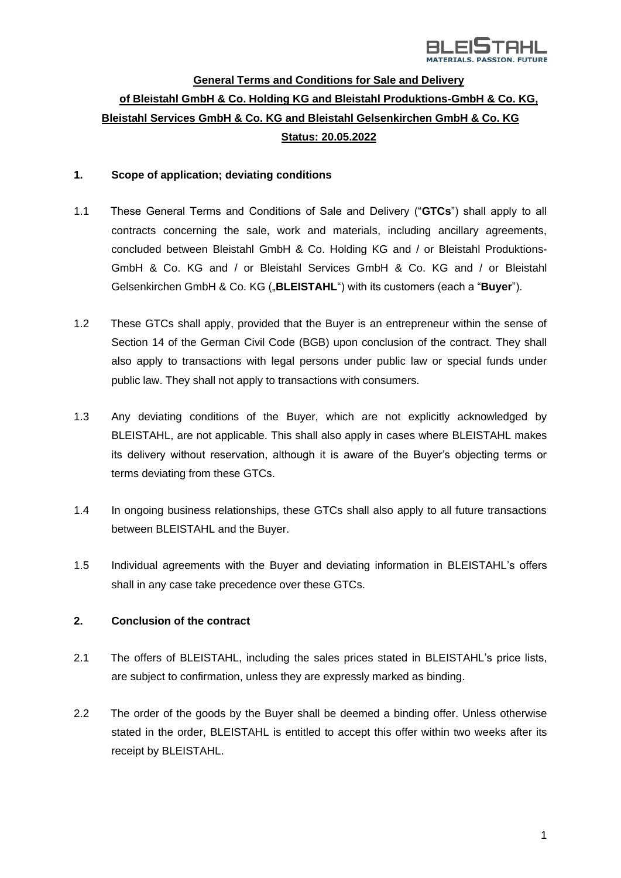

# **General Terms and Conditions for Sale and Delivery of Bleistahl GmbH & Co. Holding KG and Bleistahl Produktions-GmbH & Co. KG, Bleistahl Services GmbH & Co. KG and Bleistahl Gelsenkirchen GmbH & Co. KG Status: 20.05.2022**

### **1. Scope of application; deviating conditions**

- 1.1 These General Terms and Conditions of Sale and Delivery ("**GTCs**") shall apply to all contracts concerning the sale, work and materials, including ancillary agreements, concluded between Bleistahl GmbH & Co. Holding KG and / or Bleistahl Produktions-GmbH & Co. KG and / or Bleistahl Services GmbH & Co. KG and / or Bleistahl Gelsenkirchen GmbH & Co. KG ("**BLEISTAHL**") with its customers (each a "**Buyer**").
- 1.2 These GTCs shall apply, provided that the Buyer is an entrepreneur within the sense of Section 14 of the German Civil Code (BGB) upon conclusion of the contract. They shall also apply to transactions with legal persons under public law or special funds under public law. They shall not apply to transactions with consumers.
- 1.3 Any deviating conditions of the Buyer, which are not explicitly acknowledged by BLEISTAHL, are not applicable. This shall also apply in cases where BLEISTAHL makes its delivery without reservation, although it is aware of the Buyer's objecting terms or terms deviating from these GTCs.
- 1.4 In ongoing business relationships, these GTCs shall also apply to all future transactions between BLEISTAHL and the Buyer.
- 1.5 Individual agreements with the Buyer and deviating information in BLEISTAHL's offers shall in any case take precedence over these GTCs.

#### **2. Conclusion of the contract**

- 2.1 The offers of BLEISTAHL, including the sales prices stated in BLEISTAHL's price lists, are subject to confirmation, unless they are expressly marked as binding.
- 2.2 The order of the goods by the Buyer shall be deemed a binding offer. Unless otherwise stated in the order, BLEISTAHL is entitled to accept this offer within two weeks after its receipt by BLEISTAHL.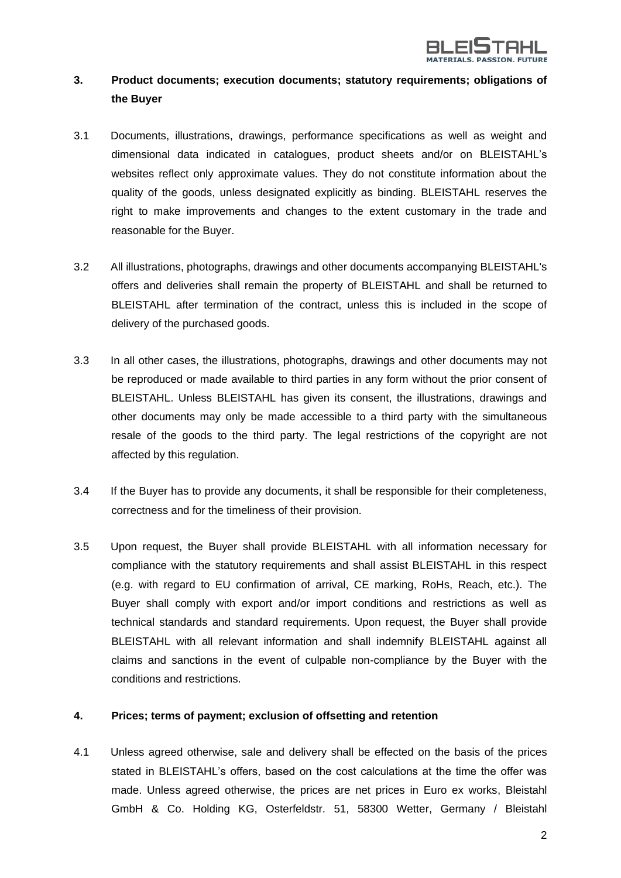

# **3. Product documents; execution documents; statutory requirements; obligations of the Buyer**

- 3.1 Documents, illustrations, drawings, performance specifications as well as weight and dimensional data indicated in catalogues, product sheets and/or on BLEISTAHL's websites reflect only approximate values. They do not constitute information about the quality of the goods, unless designated explicitly as binding. BLEISTAHL reserves the right to make improvements and changes to the extent customary in the trade and reasonable for the Buyer.
- 3.2 All illustrations, photographs, drawings and other documents accompanying BLEISTAHL's offers and deliveries shall remain the property of BLEISTAHL and shall be returned to BLEISTAHL after termination of the contract, unless this is included in the scope of delivery of the purchased goods.
- 3.3 In all other cases, the illustrations, photographs, drawings and other documents may not be reproduced or made available to third parties in any form without the prior consent of BLEISTAHL. Unless BLEISTAHL has given its consent, the illustrations, drawings and other documents may only be made accessible to a third party with the simultaneous resale of the goods to the third party. The legal restrictions of the copyright are not affected by this regulation.
- 3.4 If the Buyer has to provide any documents, it shall be responsible for their completeness, correctness and for the timeliness of their provision.
- 3.5 Upon request, the Buyer shall provide BLEISTAHL with all information necessary for compliance with the statutory requirements and shall assist BLEISTAHL in this respect (e.g. with regard to EU confirmation of arrival, CE marking, RoHs, Reach, etc.). The Buyer shall comply with export and/or import conditions and restrictions as well as technical standards and standard requirements. Upon request, the Buyer shall provide BLEISTAHL with all relevant information and shall indemnify BLEISTAHL against all claims and sanctions in the event of culpable non-compliance by the Buyer with the conditions and restrictions.

#### **4. Prices; terms of payment; exclusion of offsetting and retention**

4.1 Unless agreed otherwise, sale and delivery shall be effected on the basis of the prices stated in BLEISTAHL's offers, based on the cost calculations at the time the offer was made. Unless agreed otherwise, the prices are net prices in Euro ex works, Bleistahl GmbH & Co. Holding KG, Osterfeldstr. 51, 58300 Wetter, Germany / Bleistahl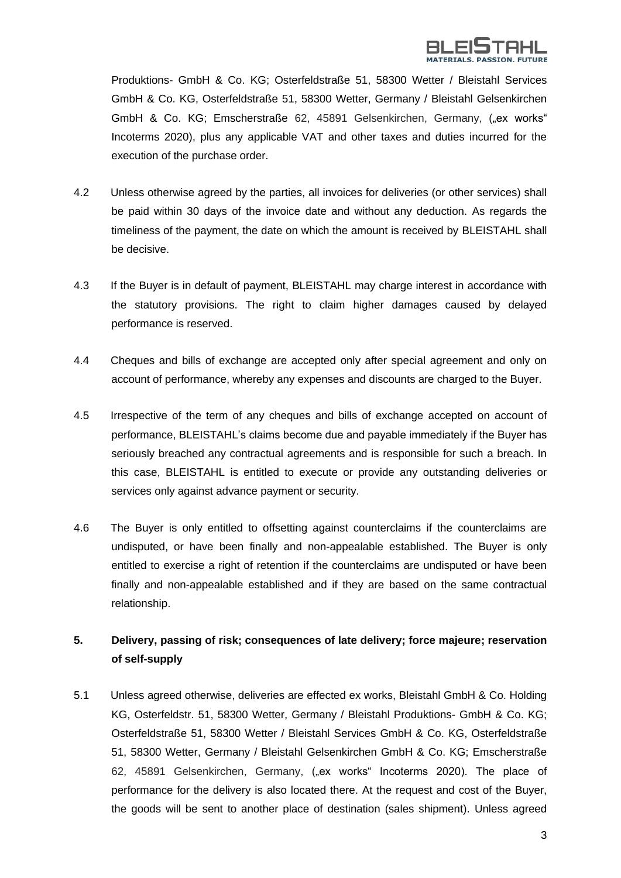

Produktions- GmbH & Co. KG; Osterfeldstraße 51, 58300 Wetter / Bleistahl Services GmbH & Co. KG, Osterfeldstraße 51, 58300 Wetter, Germany / Bleistahl Gelsenkirchen GmbH & Co. KG; Emscherstraße 62, 45891 Gelsenkirchen, Germany, ("ex works" Incoterms 2020), plus any applicable VAT and other taxes and duties incurred for the execution of the purchase order.

- 4.2 Unless otherwise agreed by the parties, all invoices for deliveries (or other services) shall be paid within 30 days of the invoice date and without any deduction. As regards the timeliness of the payment, the date on which the amount is received by BLEISTAHL shall be decisive.
- 4.3 If the Buyer is in default of payment, BLEISTAHL may charge interest in accordance with the statutory provisions. The right to claim higher damages caused by delayed performance is reserved.
- 4.4 Cheques and bills of exchange are accepted only after special agreement and only on account of performance, whereby any expenses and discounts are charged to the Buyer.
- 4.5 Irrespective of the term of any cheques and bills of exchange accepted on account of performance, BLEISTAHL's claims become due and payable immediately if the Buyer has seriously breached any contractual agreements and is responsible for such a breach. In this case, BLEISTAHL is entitled to execute or provide any outstanding deliveries or services only against advance payment or security.
- 4.6 The Buyer is only entitled to offsetting against counterclaims if the counterclaims are undisputed, or have been finally and non-appealable established. The Buyer is only entitled to exercise a right of retention if the counterclaims are undisputed or have been finally and non-appealable established and if they are based on the same contractual relationship.

# **5. Delivery, passing of risk; consequences of late delivery; force majeure; reservation of self-supply**

5.1 Unless agreed otherwise, deliveries are effected ex works, Bleistahl GmbH & Co. Holding KG, Osterfeldstr. 51, 58300 Wetter, Germany / Bleistahl Produktions- GmbH & Co. KG; Osterfeldstraße 51, 58300 Wetter / Bleistahl Services GmbH & Co. KG, Osterfeldstraße 51, 58300 Wetter, Germany / Bleistahl Gelsenkirchen GmbH & Co. KG; Emscherstraße 62, 45891 Gelsenkirchen, Germany, ("ex works" Incoterms 2020). The place of performance for the delivery is also located there. At the request and cost of the Buyer, the goods will be sent to another place of destination (sales shipment). Unless agreed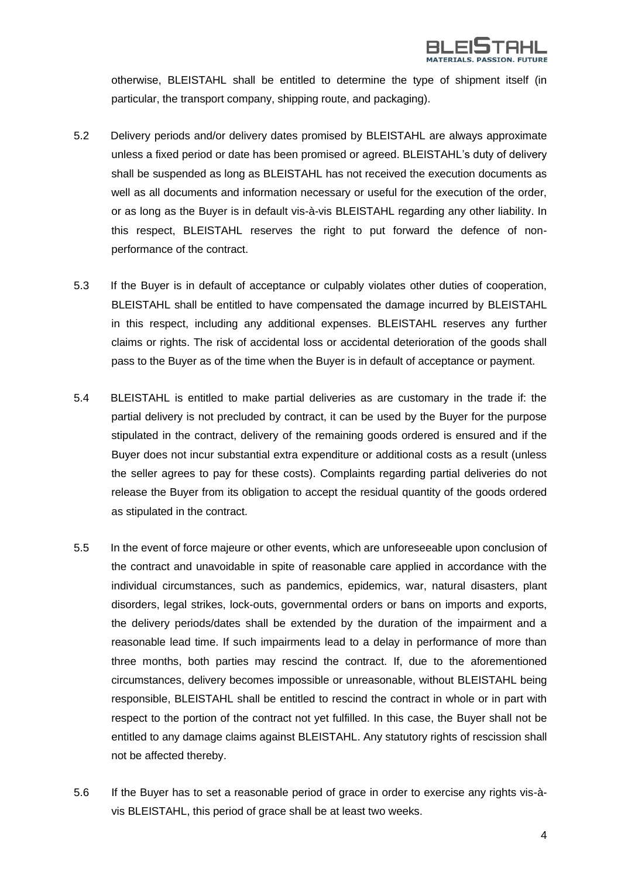

otherwise, BLEISTAHL shall be entitled to determine the type of shipment itself (in particular, the transport company, shipping route, and packaging).

- 5.2 Delivery periods and/or delivery dates promised by BLEISTAHL are always approximate unless a fixed period or date has been promised or agreed. BLEISTAHL's duty of delivery shall be suspended as long as BLEISTAHL has not received the execution documents as well as all documents and information necessary or useful for the execution of the order, or as long as the Buyer is in default vis-à-vis BLEISTAHL regarding any other liability. In this respect, BLEISTAHL reserves the right to put forward the defence of nonperformance of the contract.
- 5.3 If the Buyer is in default of acceptance or culpably violates other duties of cooperation, BLEISTAHL shall be entitled to have compensated the damage incurred by BLEISTAHL in this respect, including any additional expenses. BLEISTAHL reserves any further claims or rights. The risk of accidental loss or accidental deterioration of the goods shall pass to the Buyer as of the time when the Buyer is in default of acceptance or payment.
- 5.4 BLEISTAHL is entitled to make partial deliveries as are customary in the trade if: the partial delivery is not precluded by contract, it can be used by the Buyer for the purpose stipulated in the contract, delivery of the remaining goods ordered is ensured and if the Buyer does not incur substantial extra expenditure or additional costs as a result (unless the seller agrees to pay for these costs). Complaints regarding partial deliveries do not release the Buyer from its obligation to accept the residual quantity of the goods ordered as stipulated in the contract.
- 5.5 In the event of force majeure or other events, which are unforeseeable upon conclusion of the contract and unavoidable in spite of reasonable care applied in accordance with the individual circumstances, such as pandemics, epidemics, war, natural disasters, plant disorders, legal strikes, lock-outs, governmental orders or bans on imports and exports, the delivery periods/dates shall be extended by the duration of the impairment and a reasonable lead time. If such impairments lead to a delay in performance of more than three months, both parties may rescind the contract. If, due to the aforementioned circumstances, delivery becomes impossible or unreasonable, without BLEISTAHL being responsible, BLEISTAHL shall be entitled to rescind the contract in whole or in part with respect to the portion of the contract not yet fulfilled. In this case, the Buyer shall not be entitled to any damage claims against BLEISTAHL. Any statutory rights of rescission shall not be affected thereby.
- 5.6 If the Buyer has to set a reasonable period of grace in order to exercise any rights vis-àvis BLEISTAHL, this period of grace shall be at least two weeks.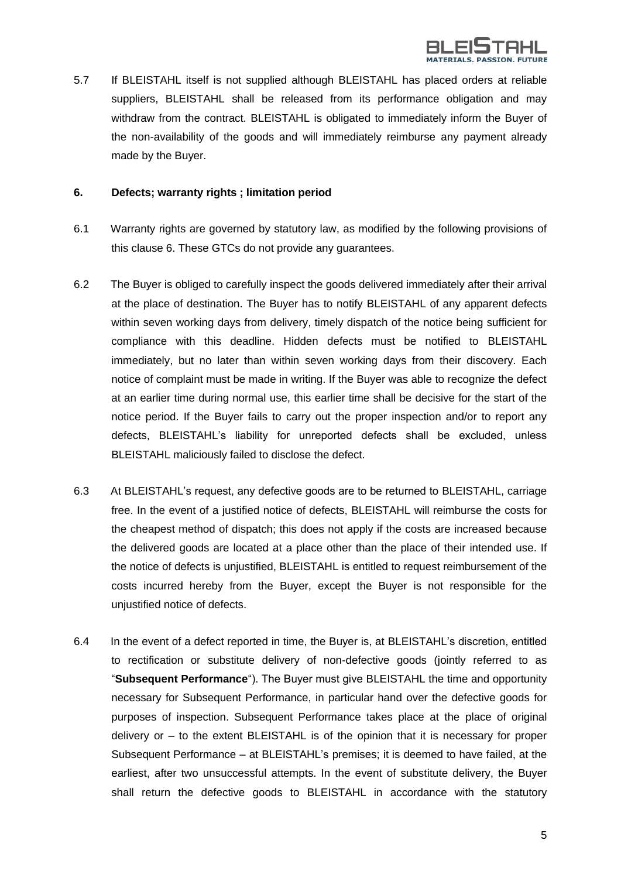

5.7 If BLEISTAHL itself is not supplied although BLEISTAHL has placed orders at reliable suppliers, BLEISTAHL shall be released from its performance obligation and may withdraw from the contract. BLEISTAHL is obligated to immediately inform the Buyer of the non-availability of the goods and will immediately reimburse any payment already made by the Buyer.

#### **6. Defects; warranty rights ; limitation period**

- 6.1 Warranty rights are governed by statutory law, as modified by the following provisions of this clause 6. These GTCs do not provide any guarantees.
- 6.2 The Buyer is obliged to carefully inspect the goods delivered immediately after their arrival at the place of destination. The Buyer has to notify BLEISTAHL of any apparent defects within seven working days from delivery, timely dispatch of the notice being sufficient for compliance with this deadline. Hidden defects must be notified to BLEISTAHL immediately, but no later than within seven working days from their discovery. Each notice of complaint must be made in writing. If the Buyer was able to recognize the defect at an earlier time during normal use, this earlier time shall be decisive for the start of the notice period. If the Buyer fails to carry out the proper inspection and/or to report any defects, BLEISTAHL's liability for unreported defects shall be excluded, unless BLEISTAHL maliciously failed to disclose the defect.
- 6.3 At BLEISTAHL's request, any defective goods are to be returned to BLEISTAHL, carriage free. In the event of a justified notice of defects, BLEISTAHL will reimburse the costs for the cheapest method of dispatch; this does not apply if the costs are increased because the delivered goods are located at a place other than the place of their intended use. If the notice of defects is unjustified, BLEISTAHL is entitled to request reimbursement of the costs incurred hereby from the Buyer, except the Buyer is not responsible for the unjustified notice of defects.
- 6.4 In the event of a defect reported in time, the Buyer is, at BLEISTAHL's discretion, entitled to rectification or substitute delivery of non-defective goods (jointly referred to as "**Subsequent Performance**"). The Buyer must give BLEISTAHL the time and opportunity necessary for Subsequent Performance, in particular hand over the defective goods for purposes of inspection. Subsequent Performance takes place at the place of original delivery or – to the extent BLEISTAHL is of the opinion that it is necessary for proper Subsequent Performance – at BLEISTAHL's premises; it is deemed to have failed, at the earliest, after two unsuccessful attempts. In the event of substitute delivery, the Buyer shall return the defective goods to BLEISTAHL in accordance with the statutory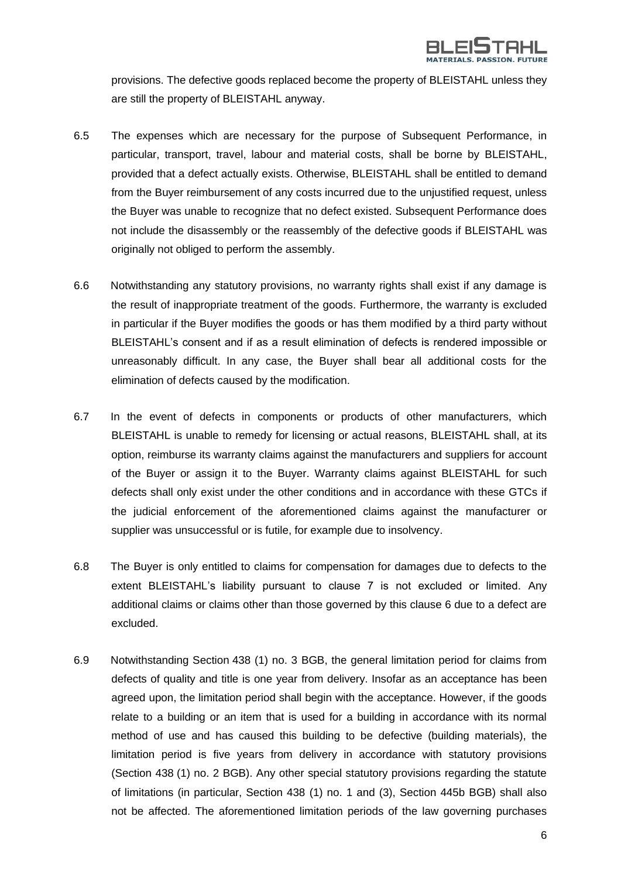

provisions. The defective goods replaced become the property of BLEISTAHL unless they are still the property of BLEISTAHL anyway.

- 6.5 The expenses which are necessary for the purpose of Subsequent Performance, in particular, transport, travel, labour and material costs, shall be borne by BLEISTAHL, provided that a defect actually exists. Otherwise, BLEISTAHL shall be entitled to demand from the Buyer reimbursement of any costs incurred due to the unjustified request, unless the Buyer was unable to recognize that no defect existed. Subsequent Performance does not include the disassembly or the reassembly of the defective goods if BLEISTAHL was originally not obliged to perform the assembly.
- 6.6 Notwithstanding any statutory provisions, no warranty rights shall exist if any damage is the result of inappropriate treatment of the goods. Furthermore, the warranty is excluded in particular if the Buyer modifies the goods or has them modified by a third party without BLEISTAHL's consent and if as a result elimination of defects is rendered impossible or unreasonably difficult. In any case, the Buyer shall bear all additional costs for the elimination of defects caused by the modification.
- 6.7 In the event of defects in components or products of other manufacturers, which BLEISTAHL is unable to remedy for licensing or actual reasons, BLEISTAHL shall, at its option, reimburse its warranty claims against the manufacturers and suppliers for account of the Buyer or assign it to the Buyer. Warranty claims against BLEISTAHL for such defects shall only exist under the other conditions and in accordance with these GTCs if the judicial enforcement of the aforementioned claims against the manufacturer or supplier was unsuccessful or is futile, for example due to insolvency.
- 6.8 The Buyer is only entitled to claims for compensation for damages due to defects to the extent BLEISTAHL's liability pursuant to clause 7 is not excluded or limited. Any additional claims or claims other than those governed by this clause 6 due to a defect are excluded.
- 6.9 Notwithstanding Section 438 (1) no. 3 BGB, the general limitation period for claims from defects of quality and title is one year from delivery. Insofar as an acceptance has been agreed upon, the limitation period shall begin with the acceptance. However, if the goods relate to a building or an item that is used for a building in accordance with its normal method of use and has caused this building to be defective (building materials), the limitation period is five years from delivery in accordance with statutory provisions (Section 438 (1) no. 2 BGB). Any other special statutory provisions regarding the statute of limitations (in particular, Section 438 (1) no. 1 and (3), Section 445b BGB) shall also not be affected. The aforementioned limitation periods of the law governing purchases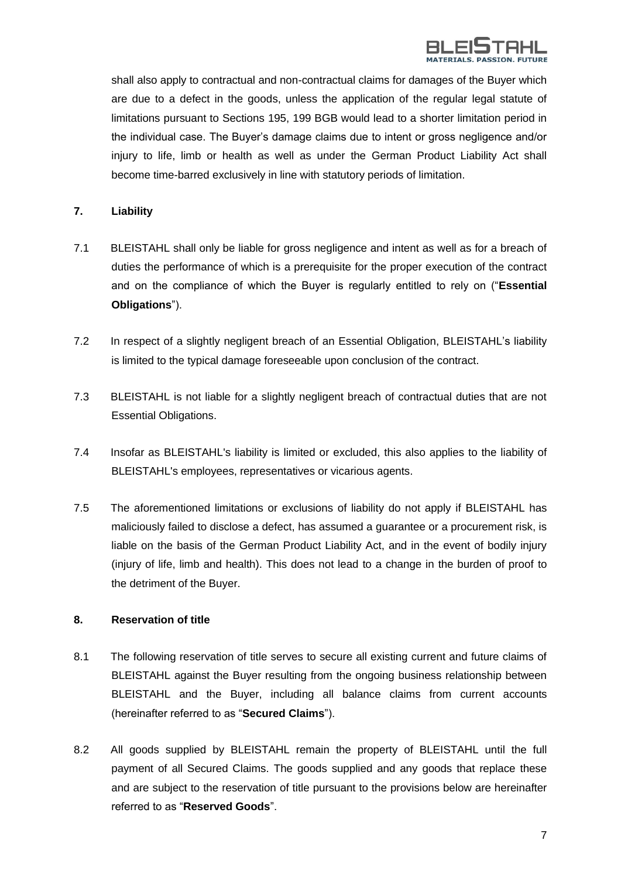

shall also apply to contractual and non-contractual claims for damages of the Buyer which are due to a defect in the goods, unless the application of the regular legal statute of limitations pursuant to Sections 195, 199 BGB would lead to a shorter limitation period in the individual case. The Buyer's damage claims due to intent or gross negligence and/or injury to life, limb or health as well as under the German Product Liability Act shall become time-barred exclusively in line with statutory periods of limitation.

## **7. Liability**

- 7.1 BLEISTAHL shall only be liable for gross negligence and intent as well as for a breach of duties the performance of which is a prerequisite for the proper execution of the contract and on the compliance of which the Buyer is regularly entitled to rely on ("**Essential Obligations**").
- 7.2 In respect of a slightly negligent breach of an Essential Obligation, BLEISTAHL's liability is limited to the typical damage foreseeable upon conclusion of the contract.
- 7.3 BLEISTAHL is not liable for a slightly negligent breach of contractual duties that are not Essential Obligations.
- 7.4 Insofar as BLEISTAHL's liability is limited or excluded, this also applies to the liability of BLEISTAHL's employees, representatives or vicarious agents.
- 7.5 The aforementioned limitations or exclusions of liability do not apply if BLEISTAHL has maliciously failed to disclose a defect, has assumed a guarantee or a procurement risk, is liable on the basis of the German Product Liability Act, and in the event of bodily injury (injury of life, limb and health). This does not lead to a change in the burden of proof to the detriment of the Buyer.

#### **8. Reservation of title**

- 8.1 The following reservation of title serves to secure all existing current and future claims of BLEISTAHL against the Buyer resulting from the ongoing business relationship between BLEISTAHL and the Buyer, including all balance claims from current accounts (hereinafter referred to as "**Secured Claims**").
- 8.2 All goods supplied by BLEISTAHL remain the property of BLEISTAHL until the full payment of all Secured Claims. The goods supplied and any goods that replace these and are subject to the reservation of title pursuant to the provisions below are hereinafter referred to as "**Reserved Goods**".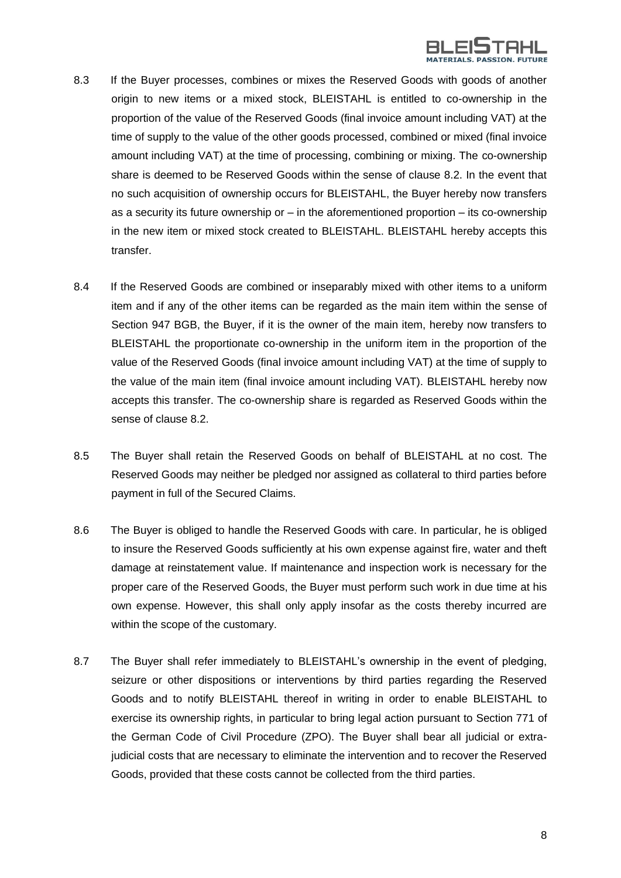

- 8.3 If the Buyer processes, combines or mixes the Reserved Goods with goods of another origin to new items or a mixed stock, BLEISTAHL is entitled to co-ownership in the proportion of the value of the Reserved Goods (final invoice amount including VAT) at the time of supply to the value of the other goods processed, combined or mixed (final invoice amount including VAT) at the time of processing, combining or mixing. The co-ownership share is deemed to be Reserved Goods within the sense of clause 8.2. In the event that no such acquisition of ownership occurs for BLEISTAHL, the Buyer hereby now transfers as a security its future ownership or – in the aforementioned proportion – its co-ownership in the new item or mixed stock created to BLEISTAHL. BLEISTAHL hereby accepts this transfer.
- 8.4 If the Reserved Goods are combined or inseparably mixed with other items to a uniform item and if any of the other items can be regarded as the main item within the sense of Section 947 BGB, the Buyer, if it is the owner of the main item, hereby now transfers to BLEISTAHL the proportionate co-ownership in the uniform item in the proportion of the value of the Reserved Goods (final invoice amount including VAT) at the time of supply to the value of the main item (final invoice amount including VAT). BLEISTAHL hereby now accepts this transfer. The co-ownership share is regarded as Reserved Goods within the sense of clause 8.2.
- 8.5 The Buyer shall retain the Reserved Goods on behalf of BLEISTAHL at no cost. The Reserved Goods may neither be pledged nor assigned as collateral to third parties before payment in full of the Secured Claims.
- 8.6 The Buyer is obliged to handle the Reserved Goods with care. In particular, he is obliged to insure the Reserved Goods sufficiently at his own expense against fire, water and theft damage at reinstatement value. If maintenance and inspection work is necessary for the proper care of the Reserved Goods, the Buyer must perform such work in due time at his own expense. However, this shall only apply insofar as the costs thereby incurred are within the scope of the customary.
- 8.7 The Buyer shall refer immediately to BLEISTAHL's ownership in the event of pledging, seizure or other dispositions or interventions by third parties regarding the Reserved Goods and to notify BLEISTAHL thereof in writing in order to enable BLEISTAHL to exercise its ownership rights, in particular to bring legal action pursuant to Section 771 of the German Code of Civil Procedure (ZPO). The Buyer shall bear all judicial or extrajudicial costs that are necessary to eliminate the intervention and to recover the Reserved Goods, provided that these costs cannot be collected from the third parties.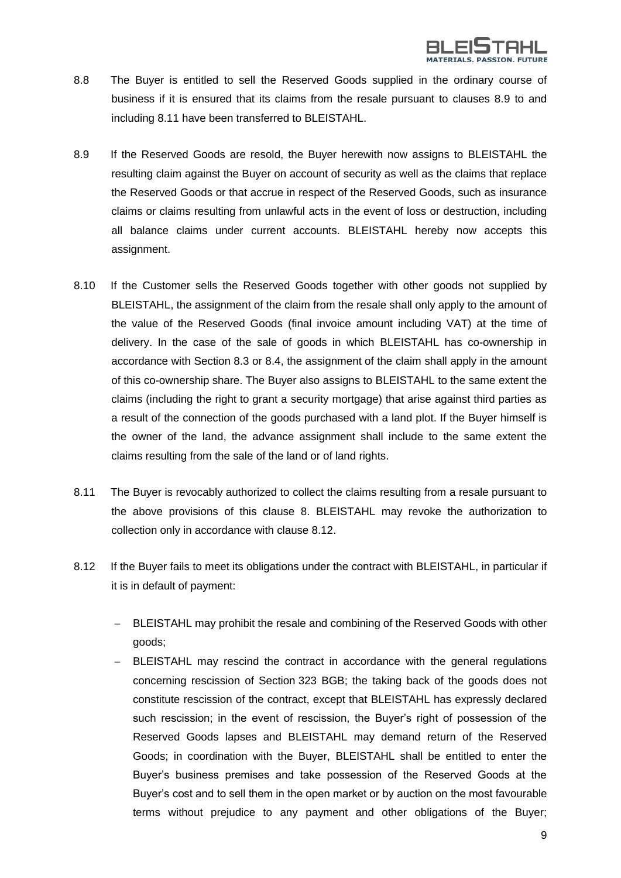

- 8.8 The Buyer is entitled to sell the Reserved Goods supplied in the ordinary course of business if it is ensured that its claims from the resale pursuant to clauses 8.9 to and including 8.11 have been transferred to BLEISTAHL.
- 8.9 If the Reserved Goods are resold, the Buyer herewith now assigns to BLEISTAHL the resulting claim against the Buyer on account of security as well as the claims that replace the Reserved Goods or that accrue in respect of the Reserved Goods, such as insurance claims or claims resulting from unlawful acts in the event of loss or destruction, including all balance claims under current accounts. BLEISTAHL hereby now accepts this assignment.
- 8.10 If the Customer sells the Reserved Goods together with other goods not supplied by BLEISTAHL, the assignment of the claim from the resale shall only apply to the amount of the value of the Reserved Goods (final invoice amount including VAT) at the time of delivery. In the case of the sale of goods in which BLEISTAHL has co-ownership in accordance with Section 8.3 or 8.4, the assignment of the claim shall apply in the amount of this co-ownership share. The Buyer also assigns to BLEISTAHL to the same extent the claims (including the right to grant a security mortgage) that arise against third parties as a result of the connection of the goods purchased with a land plot. If the Buyer himself is the owner of the land, the advance assignment shall include to the same extent the claims resulting from the sale of the land or of land rights.
- 8.11 The Buyer is revocably authorized to collect the claims resulting from a resale pursuant to the above provisions of this clause 8. BLEISTAHL may revoke the authorization to collection only in accordance with clause 8.12.
- 8.12 If the Buyer fails to meet its obligations under the contract with BLEISTAHL, in particular if it is in default of payment:
	- − BLEISTAHL may prohibit the resale and combining of the Reserved Goods with other goods;
	- BLEISTAHL may rescind the contract in accordance with the general regulations concerning rescission of Section 323 BGB; the taking back of the goods does not constitute rescission of the contract, except that BLEISTAHL has expressly declared such rescission; in the event of rescission, the Buyer's right of possession of the Reserved Goods lapses and BLEISTAHL may demand return of the Reserved Goods; in coordination with the Buyer, BLEISTAHL shall be entitled to enter the Buyer's business premises and take possession of the Reserved Goods at the Buyer's cost and to sell them in the open market or by auction on the most favourable terms without prejudice to any payment and other obligations of the Buyer;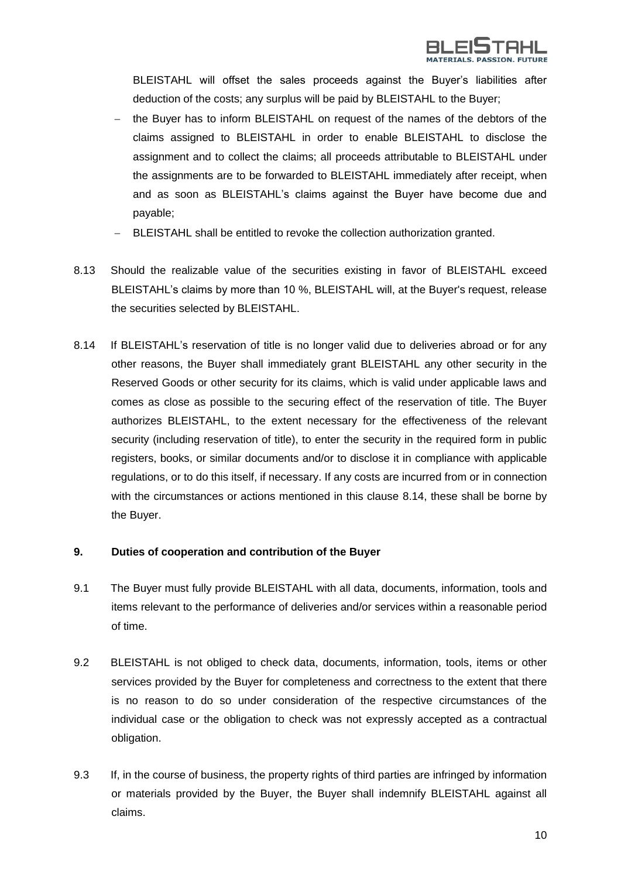

BLEISTAHL will offset the sales proceeds against the Buyer's liabilities after deduction of the costs; any surplus will be paid by BLEISTAHL to the Buyer;

- the Buyer has to inform BLEISTAHL on request of the names of the debtors of the claims assigned to BLEISTAHL in order to enable BLEISTAHL to disclose the assignment and to collect the claims; all proceeds attributable to BLEISTAHL under the assignments are to be forwarded to BLEISTAHL immediately after receipt, when and as soon as BLEISTAHL's claims against the Buyer have become due and payable;
- BLEISTAHL shall be entitled to revoke the collection authorization granted.
- 8.13 Should the realizable value of the securities existing in favor of BLEISTAHL exceed BLEISTAHL's claims by more than 10 %, BLEISTAHL will, at the Buyer's request, release the securities selected by BLEISTAHL.
- 8.14 If BLEISTAHL's reservation of title is no longer valid due to deliveries abroad or for any other reasons, the Buyer shall immediately grant BLEISTAHL any other security in the Reserved Goods or other security for its claims, which is valid under applicable laws and comes as close as possible to the securing effect of the reservation of title. The Buyer authorizes BLEISTAHL, to the extent necessary for the effectiveness of the relevant security (including reservation of title), to enter the security in the required form in public registers, books, or similar documents and/or to disclose it in compliance with applicable regulations, or to do this itself, if necessary. If any costs are incurred from or in connection with the circumstances or actions mentioned in this clause 8.14, these shall be borne by the Buyer.

#### **9. Duties of cooperation and contribution of the Buyer**

- 9.1 The Buyer must fully provide BLEISTAHL with all data, documents, information, tools and items relevant to the performance of deliveries and/or services within a reasonable period of time.
- 9.2 BLEISTAHL is not obliged to check data, documents, information, tools, items or other services provided by the Buyer for completeness and correctness to the extent that there is no reason to do so under consideration of the respective circumstances of the individual case or the obligation to check was not expressly accepted as a contractual obligation.
- 9.3 If, in the course of business, the property rights of third parties are infringed by information or materials provided by the Buyer, the Buyer shall indemnify BLEISTAHL against all claims.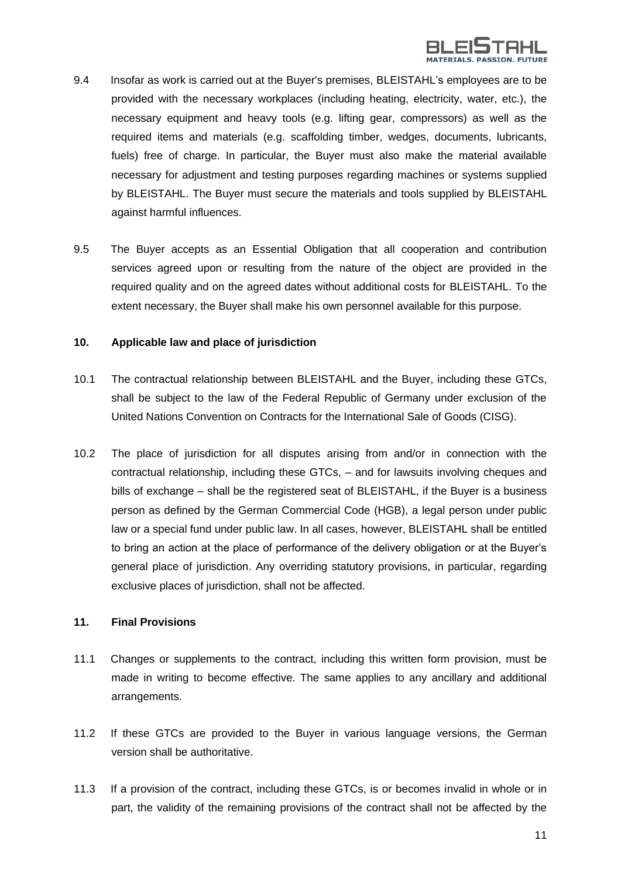

- 9.4 Insofar as work is carried out at the Buyer's premises, BLEISTAHL's employees are to be provided with the necessary workplaces (including heating, electricity, water, etc.), the necessary equipment and heavy tools (e.g. lifting gear, compressors) as well as the required items and materials (e.g. scaffolding timber, wedges, documents, lubricants, fuels) free of charge. In particular, the Buyer must also make the material available necessary for adjustment and testing purposes regarding machines or systems supplied by BLEISTAHL. The Buyer must secure the materials and tools supplied by BLEISTAHL against harmful influences.
- 9.5 The Buyer accepts as an Essential Obligation that all cooperation and contribution services agreed upon or resulting from the nature of the object are provided in the required quality and on the agreed dates without additional costs for BLEISTAHL. To the extent necessary, the Buyer shall make his own personnel available for this purpose.

#### **10. Applicable law and place of jurisdiction**

- 10.1 The contractual relationship between BLEISTAHL and the Buyer, including these GTCs, shall be subject to the law of the Federal Republic of Germany under exclusion of the United Nations Convention on Contracts for the International Sale of Goods (CISG).
- 10.2 The place of jurisdiction for all disputes arising from and/or in connection with the contractual relationship, including these GTCs, – and for lawsuits involving cheques and bills of exchange – shall be the registered seat of BLEISTAHL, if the Buyer is a business person as defined by the German Commercial Code (HGB), a legal person under public law or a special fund under public law. In all cases, however, BLEISTAHL shall be entitled to bring an action at the place of performance of the delivery obligation or at the Buyer's general place of jurisdiction. Any overriding statutory provisions, in particular, regarding exclusive places of jurisdiction, shall not be affected.

## **11. Final Provisions**

- 11.1 Changes or supplements to the contract, including this written form provision, must be made in writing to become effective. The same applies to any ancillary and additional arrangements.
- 11.2 If these GTCs are provided to the Buyer in various language versions, the German version shall be authoritative.
- 11.3 If a provision of the contract, including these GTCs, is or becomes invalid in whole or in part, the validity of the remaining provisions of the contract shall not be affected by the